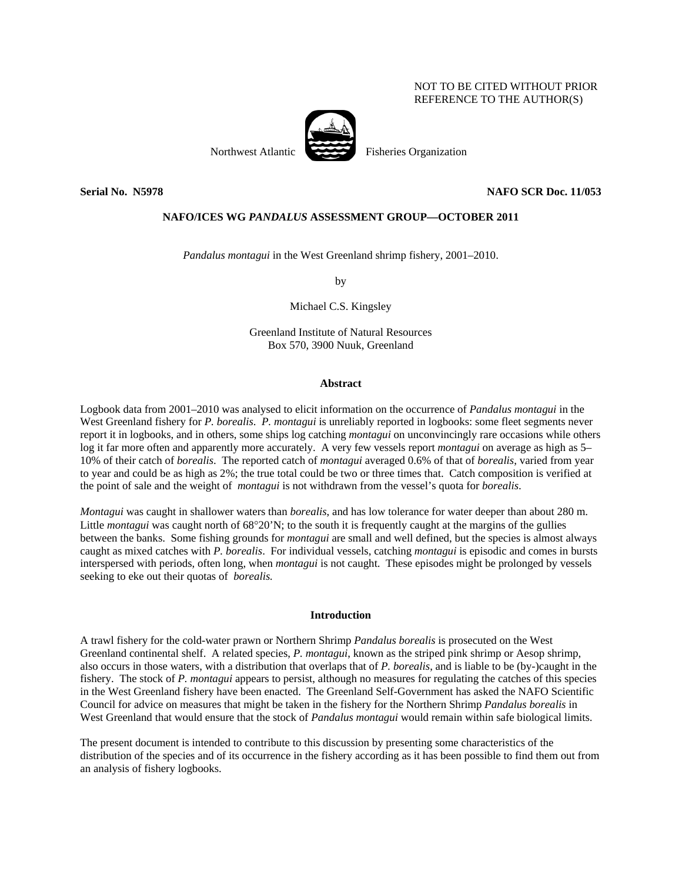# NOT TO BE CITED WITHOUT PRIOR REFERENCE TO THE AUTHOR(S)



Northwest Atlantic Fisheries Organization

## **Serial No. N5978 NAFO SCR Doc. 11/053**

## **NAFO/ICES WG** *PANDALUS* **ASSESSMENT GROUP—OCTOBER 2011**

*Pandalus montagui* in the West Greenland shrimp fishery, 2001–2010.

by

Michael C.S. Kingsley

Greenland Institute of Natural Resources Box 570, 3900 Nuuk, Greenland

### **Abstract**

Logbook data from 2001–2010 was analysed to elicit information on the occurrence of *Pandalus montagui* in the West Greenland fishery for *P. borealis*. *P. montagui* is unreliably reported in logbooks: some fleet segments never report it in logbooks, and in others, some ships log catching *montagui* on unconvincingly rare occasions while others log it far more often and apparently more accurately. A very few vessels report *montagui* on average as high as 5– 10% of their catch of *borealis*. The reported catch of *montagui* averaged 0.6% of that of *borealis*, varied from year to year and could be as high as 2%; the true total could be two or three times that. Catch composition is verified at the point of sale and the weight of *montagui* is not withdrawn from the vessel's quota for *borealis*.

*Montagui* was caught in shallower waters than *borealis*, and has low tolerance for water deeper than about 280 m. Little *montagui* was caught north of 68°20'N; to the south it is frequently caught at the margins of the gullies between the banks. Some fishing grounds for *montagui* are small and well defined, but the species is almost always caught as mixed catches with *P. borealis*. For individual vessels, catching *montagui* is episodic and comes in bursts interspersed with periods, often long, when *montagui* is not caught. These episodes might be prolonged by vessels seeking to eke out their quotas of *borealis.*

## **Introduction**

A trawl fishery for the cold-water prawn or Northern Shrimp *Pandalus borealis* is prosecuted on the West Greenland continental shelf. A related species, *P. montagui*, known as the striped pink shrimp or Aesop shrimp, also occurs in those waters, with a distribution that overlaps that of *P. borealis*, and is liable to be (by-)caught in the fishery. The stock of *P. montagui* appears to persist, although no measures for regulating the catches of this species in the West Greenland fishery have been enacted. The Greenland Self-Government has asked the NAFO Scientific Council for advice on measures that might be taken in the fishery for the Northern Shrimp *Pandalus borealis* in West Greenland that would ensure that the stock of *Pandalus montagui* would remain within safe biological limits.

The present document is intended to contribute to this discussion by presenting some characteristics of the distribution of the species and of its occurrence in the fishery according as it has been possible to find them out from an analysis of fishery logbooks.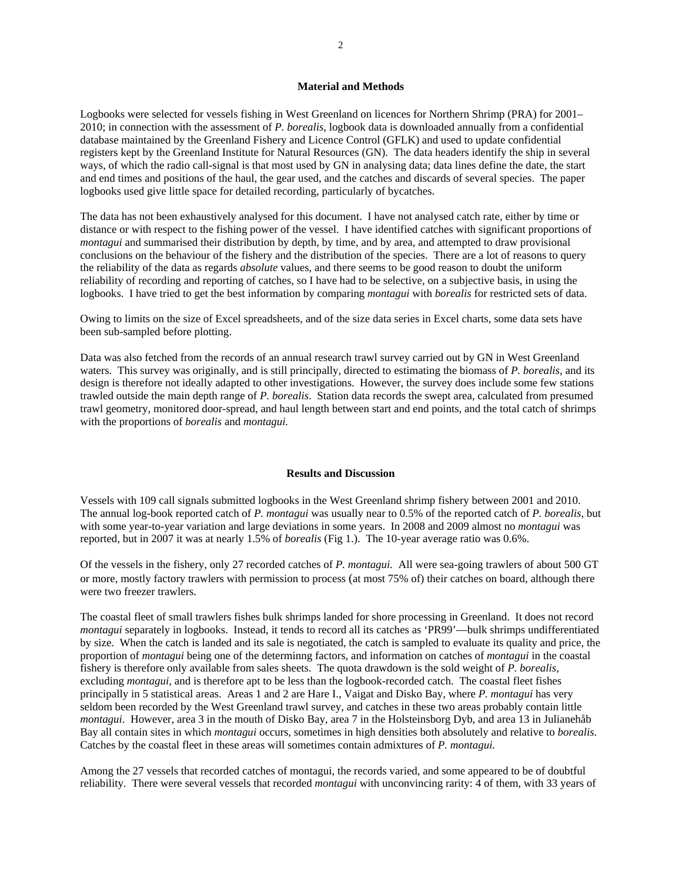# **Material and Methods**

Logbooks were selected for vessels fishing in West Greenland on licences for Northern Shrimp (PRA) for 2001– 2010; in connection with the assessment of *P. borealis*, logbook data is downloaded annually from a confidential database maintained by the Greenland Fishery and Licence Control (GFLK) and used to update confidential registers kept by the Greenland Institute for Natural Resources (GN). The data headers identify the ship in several ways, of which the radio call-signal is that most used by GN in analysing data; data lines define the date, the start and end times and positions of the haul, the gear used, and the catches and discards of several species. The paper logbooks used give little space for detailed recording, particularly of bycatches.

The data has not been exhaustively analysed for this document. I have not analysed catch rate, either by time or distance or with respect to the fishing power of the vessel. I have identified catches with significant proportions of *montagui* and summarised their distribution by depth, by time, and by area, and attempted to draw provisional conclusions on the behaviour of the fishery and the distribution of the species. There are a lot of reasons to query the reliability of the data as regards *absolute* values, and there seems to be good reason to doubt the uniform reliability of recording and reporting of catches, so I have had to be selective, on a subjective basis, in using the logbooks. I have tried to get the best information by comparing *montagui* with *borealis* for restricted sets of data.

Owing to limits on the size of Excel spreadsheets, and of the size data series in Excel charts, some data sets have been sub-sampled before plotting.

Data was also fetched from the records of an annual research trawl survey carried out by GN in West Greenland waters. This survey was originally, and is still principally, directed to estimating the biomass of *P. borealis*, and its design is therefore not ideally adapted to other investigations. However, the survey does include some few stations trawled outside the main depth range of *P. borealis*. Station data records the swept area, calculated from presumed trawl geometry, monitored door-spread, and haul length between start and end points, and the total catch of shrimps with the proportions of *borealis* and *montagui.*

#### **Results and Discussion**

Vessels with 109 call signals submitted logbooks in the West Greenland shrimp fishery between 2001 and 2010. The annual log-book reported catch of *P. montagui* was usually near to 0.5% of the reported catch of *P. borealis*, but with some year-to-year variation and large deviations in some years. In 2008 and 2009 almost no *montagui* was reported, but in 2007 it was at nearly 1.5% of *borealis* (Fig 1.). The 10-year average ratio was 0.6%.

Of the vessels in the fishery, only 27 recorded catches of *P. montagui.* All were sea-going trawlers of about 500 GT or more, mostly factory trawlers with permission to process (at most 75% of) their catches on board, although there were two freezer trawlers.

The coastal fleet of small trawlers fishes bulk shrimps landed for shore processing in Greenland. It does not record *montagui* separately in logbooks. Instead, it tends to record all its catches as 'PR99'—bulk shrimps undifferentiated by size. When the catch is landed and its sale is negotiated, the catch is sampled to evaluate its quality and price, the proportion of *montagui* being one of the determinng factors, and information on catches of *montagui* in the coastal fishery is therefore only available from sales sheets. The quota drawdown is the sold weight of *P. borealis*, excluding *montagui,* and is therefore apt to be less than the logbook-recorded catch. The coastal fleet fishes principally in 5 statistical areas. Areas 1 and 2 are Hare I., Vaigat and Disko Bay, where *P. montagui* has very seldom been recorded by the West Greenland trawl survey, and catches in these two areas probably contain little *montagui*. However, area 3 in the mouth of Disko Bay, area 7 in the Holsteinsborg Dyb, and area 13 in Julianehåb Bay all contain sites in which *montagui* occurs, sometimes in high densities both absolutely and relative to *borealis*. Catches by the coastal fleet in these areas will sometimes contain admixtures of *P. montagui.*

Among the 27 vessels that recorded catches of montagui, the records varied, and some appeared to be of doubtful reliability. There were several vessels that recorded *montagui* with unconvincing rarity: 4 of them, with 33 years of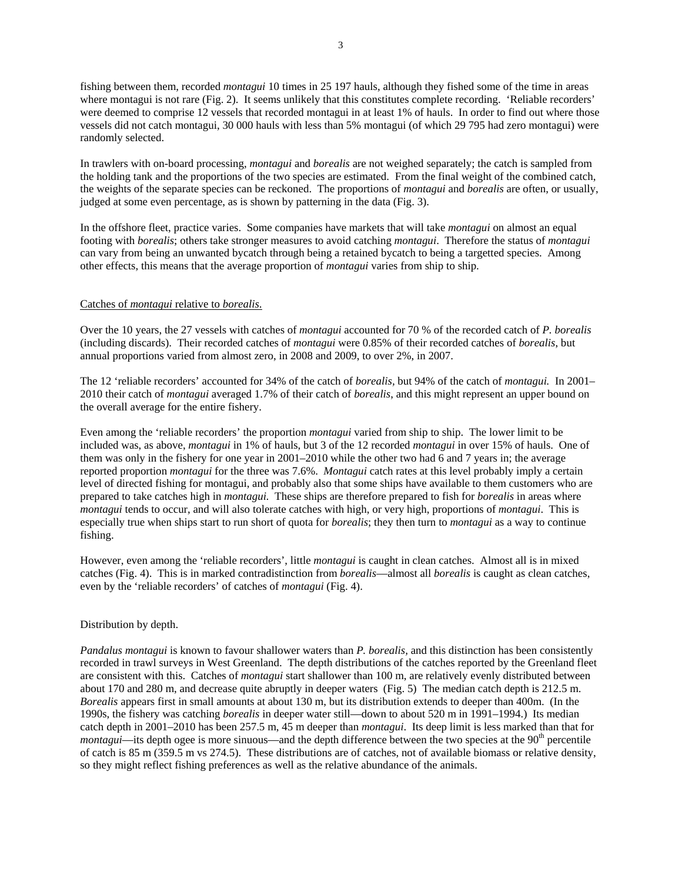fishing between them, recorded *montagui* 10 times in 25 197 hauls, although they fished some of the time in areas where montagui is not rare (Fig. 2). It seems unlikely that this constitutes complete recording. 'Reliable recorders' were deemed to comprise 12 vessels that recorded montagui in at least 1% of hauls. In order to find out where those vessels did not catch montagui, 30 000 hauls with less than 5% montagui (of which 29 795 had zero montagui) were randomly selected.

In trawlers with on-board processing, *montagui* and *borealis* are not weighed separately; the catch is sampled from the holding tank and the proportions of the two species are estimated. From the final weight of the combined catch, the weights of the separate species can be reckoned. The proportions of *montagui* and *borealis* are often, or usually, judged at some even percentage, as is shown by patterning in the data (Fig. 3).

In the offshore fleet, practice varies. Some companies have markets that will take *montagui* on almost an equal footing with *borealis*; others take stronger measures to avoid catching *montagui*. Therefore the status of *montagui* can vary from being an unwanted bycatch through being a retained bycatch to being a targetted species. Among other effects, this means that the average proportion of *montagui* varies from ship to ship.

#### Catches of *montagui* relative to *borealis*.

Over the 10 years, the 27 vessels with catches of *montagui* accounted for 70 % of the recorded catch of *P. borealis* (including discards). Their recorded catches of *montagui* were 0.85% of their recorded catches of *borealis*, but annual proportions varied from almost zero, in 2008 and 2009, to over 2%, in 2007.

The 12 'reliable recorders' accounted for 34% of the catch of *borealis,* but 94% of the catch of *montagui.* In 2001– 2010 their catch of *montagui* averaged 1.7% of their catch of *borealis*, and this might represent an upper bound on the overall average for the entire fishery.

Even among the 'reliable recorders' the proportion *montagui* varied from ship to ship. The lower limit to be included was, as above, *montagui* in 1% of hauls, but 3 of the 12 recorded *montagui* in over 15% of hauls. One of them was only in the fishery for one year in 2001–2010 while the other two had 6 and 7 years in; the average reported proportion *montagui* for the three was 7.6%. *Montagui* catch rates at this level probably imply a certain level of directed fishing for montagui, and probably also that some ships have available to them customers who are prepared to take catches high in *montagui.* These ships are therefore prepared to fish for *borealis* in areas where *montagui* tends to occur, and will also tolerate catches with high, or very high, proportions of *montagui*. This is especially true when ships start to run short of quota for *borealis*; they then turn to *montagui* as a way to continue fishing.

However, even among the 'reliable recorders', little *montagui* is caught in clean catches. Almost all is in mixed catches (Fig. 4). This is in marked contradistinction from *borealis*—almost all *borealis* is caught as clean catches, even by the 'reliable recorders' of catches of *montagui* (Fig. 4).

# Distribution by depth.

*Pandalus montagui* is known to favour shallower waters than *P. borealis,* and this distinction has been consistently recorded in trawl surveys in West Greenland. The depth distributions of the catches reported by the Greenland fleet are consistent with this. Catches of *montagui* start shallower than 100 m, are relatively evenly distributed between about 170 and 280 m, and decrease quite abruptly in deeper waters (Fig. 5) The median catch depth is 212.5 m. *Borealis* appears first in small amounts at about 130 m, but its distribution extends to deeper than 400m. (In the 1990s, the fishery was catching *borealis* in deeper water still—down to about 520 m in 1991–1994.) Its median catch depth in 2001–2010 has been 257.5 m, 45 m deeper than *montagui*. Its deep limit is less marked than that for *montagui*—its depth ogee is more sinuous—and the depth difference between the two species at the 90<sup>th</sup> percentile of catch is 85 m (359.5 m vs 274.5). These distributions are of catches, not of available biomass or relative density, so they might reflect fishing preferences as well as the relative abundance of the animals.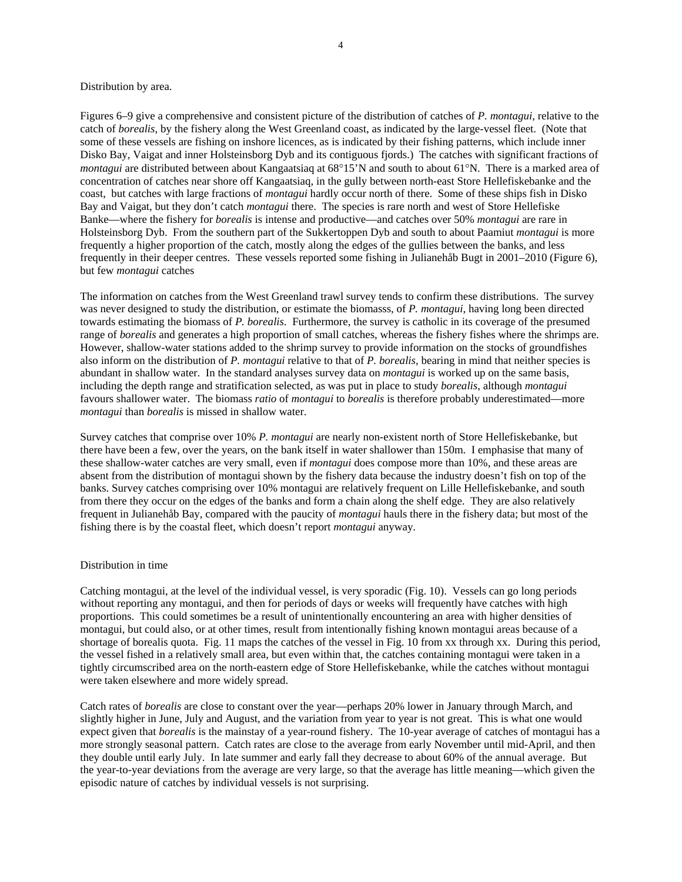## Distribution by area.

Figures 6–9 give a comprehensive and consistent picture of the distribution of catches of *P. montagui*, relative to the catch of *borealis*, by the fishery along the West Greenland coast, as indicated by the large-vessel fleet. (Note that some of these vessels are fishing on inshore licences, as is indicated by their fishing patterns, which include inner Disko Bay, Vaigat and inner Holsteinsborg Dyb and its contiguous fjords.) The catches with significant fractions of *montagui* are distributed between about Kangaatsiaq at 68°15'N and south to about 61°N. There is a marked area of concentration of catches near shore off Kangaatsiaq, in the gully between north-east Store Hellefiskebanke and the coast, but catches with large fractions of *montagui* hardly occur north of there. Some of these ships fish in Disko Bay and Vaigat, but they don't catch *montagui* there. The species is rare north and west of Store Hellefiske Banke—where the fishery for *borealis* is intense and productive—and catches over 50% *montagui* are rare in Holsteinsborg Dyb. From the southern part of the Sukkertoppen Dyb and south to about Paamiut *montagui* is more frequently a higher proportion of the catch, mostly along the edges of the gullies between the banks, and less frequently in their deeper centres. These vessels reported some fishing in Julianehåb Bugt in 2001–2010 (Figure 6), but few *montagui* catches

The information on catches from the West Greenland trawl survey tends to confirm these distributions. The survey was never designed to study the distribution, or estimate the biomasss, of *P. montagui*, having long been directed towards estimating the biomass of *P. borealis*. Furthermore, the survey is catholic in its coverage of the presumed range of *borealis* and generates a high proportion of small catches, whereas the fishery fishes where the shrimps are. However, shallow-water stations added to the shrimp survey to provide information on the stocks of groundfishes also inform on the distribution of *P. montagui* relative to that of *P. borealis*, bearing in mind that neither species is abundant in shallow water. In the standard analyses survey data on *montagui* is worked up on the same basis, including the depth range and stratification selected, as was put in place to study *borealis*, although *montagui* favours shallower water. The biomass *ratio* of *montagui* to *borealis* is therefore probably underestimated—more *montagui* than *borealis* is missed in shallow water.

Survey catches that comprise over 10% *P. montagui* are nearly non-existent north of Store Hellefiskebanke, but there have been a few, over the years, on the bank itself in water shallower than 150m. I emphasise that many of these shallow-water catches are very small, even if *montagui* does compose more than 10%, and these areas are absent from the distribution of montagui shown by the fishery data because the industry doesn't fish on top of the banks. Survey catches comprising over 10% montagui are relatively frequent on Lille Hellefiskebanke, and south from there they occur on the edges of the banks and form a chain along the shelf edge. They are also relatively frequent in Julianehåb Bay, compared with the paucity of *montagui* hauls there in the fishery data; but most of the fishing there is by the coastal fleet, which doesn't report *montagui* anyway.

## Distribution in time

Catching montagui, at the level of the individual vessel, is very sporadic (Fig. 10). Vessels can go long periods without reporting any montagui, and then for periods of days or weeks will frequently have catches with high proportions. This could sometimes be a result of unintentionally encountering an area with higher densities of montagui, but could also, or at other times, result from intentionally fishing known montagui areas because of a shortage of borealis quota. Fig. 11 maps the catches of the vessel in Fig. 10 from xx through xx. During this period, the vessel fished in a relatively small area, but even within that, the catches containing montagui were taken in a tightly circumscribed area on the north-eastern edge of Store Hellefiskebanke, while the catches without montagui were taken elsewhere and more widely spread.

Catch rates of *borealis* are close to constant over the year—perhaps 20% lower in January through March, and slightly higher in June, July and August, and the variation from year to year is not great. This is what one would expect given that *borealis* is the mainstay of a year-round fishery. The 10-year average of catches of montagui has a more strongly seasonal pattern. Catch rates are close to the average from early November until mid-April, and then they double until early July. In late summer and early fall they decrease to about 60% of the annual average. But the year-to-year deviations from the average are very large, so that the average has little meaning—which given the episodic nature of catches by individual vessels is not surprising.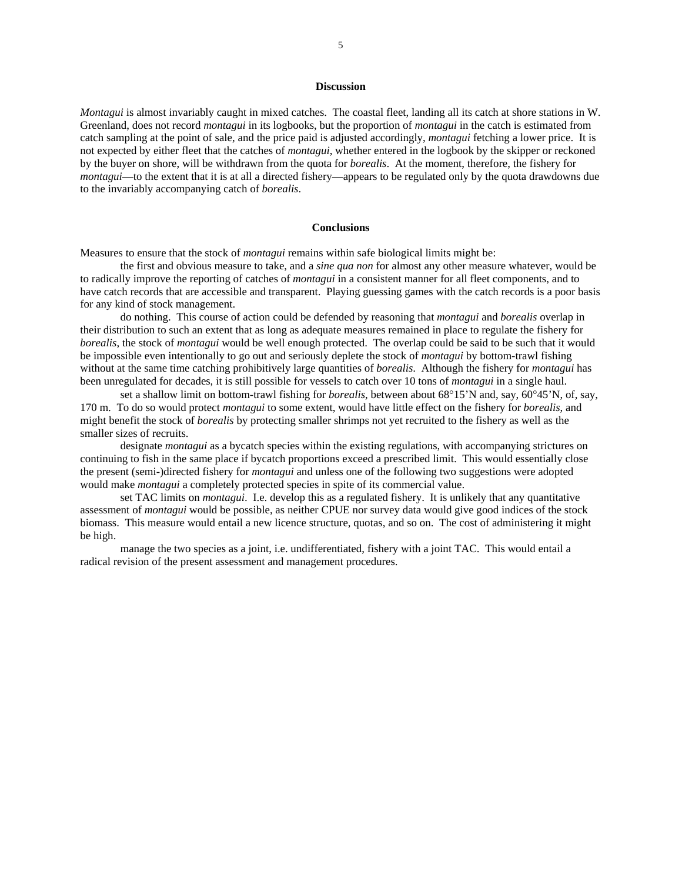# **Discussion**

*Montagui* is almost invariably caught in mixed catches. The coastal fleet, landing all its catch at shore stations in W. Greenland, does not record *montagui* in its logbooks, but the proportion of *montagui* in the catch is estimated from catch sampling at the point of sale, and the price paid is adjusted accordingly, *montagui* fetching a lower price. It is not expected by either fleet that the catches of *montagui*, whether entered in the logbook by the skipper or reckoned by the buyer on shore, will be withdrawn from the quota for *borealis*. At the moment, therefore, the fishery for *montagui*—to the extent that it is at all a directed fishery—appears to be regulated only by the quota drawdowns due to the invariably accompanying catch of *borealis*.

## **Conclusions**

Measures to ensure that the stock of *montagui* remains within safe biological limits might be:

 the first and obvious measure to take, and a *sine qua non* for almost any other measure whatever, would be to radically improve the reporting of catches of *montagui* in a consistent manner for all fleet components, and to have catch records that are accessible and transparent. Playing guessing games with the catch records is a poor basis for any kind of stock management.

 do nothing. This course of action could be defended by reasoning that *montagui* and *borealis* overlap in their distribution to such an extent that as long as adequate measures remained in place to regulate the fishery for *borealis*, the stock of *montagui* would be well enough protected. The overlap could be said to be such that it would be impossible even intentionally to go out and seriously deplete the stock of *montagui* by bottom-trawl fishing without at the same time catching prohibitively large quantities of *borealis*. Although the fishery for *montagui* has been unregulated for decades, it is still possible for vessels to catch over 10 tons of *montagui* in a single haul.

 set a shallow limit on bottom-trawl fishing for *borealis*, between about 68°15'N and, say, 60°45'N, of, say, 170 m. To do so would protect *montagui* to some extent, would have little effect on the fishery for *borealis*, and might benefit the stock of *borealis* by protecting smaller shrimps not yet recruited to the fishery as well as the smaller sizes of recruits.

 designate *montagui* as a bycatch species within the existing regulations, with accompanying strictures on continuing to fish in the same place if bycatch proportions exceed a prescribed limit. This would essentially close the present (semi-)directed fishery for *montagui* and unless one of the following two suggestions were adopted would make *montagui* a completely protected species in spite of its commercial value.

 set TAC limits on *montagui*. I.e. develop this as a regulated fishery. It is unlikely that any quantitative assessment of *montagui* would be possible, as neither CPUE nor survey data would give good indices of the stock biomass. This measure would entail a new licence structure, quotas, and so on. The cost of administering it might be high.

 manage the two species as a joint, i.e. undifferentiated, fishery with a joint TAC. This would entail a radical revision of the present assessment and management procedures.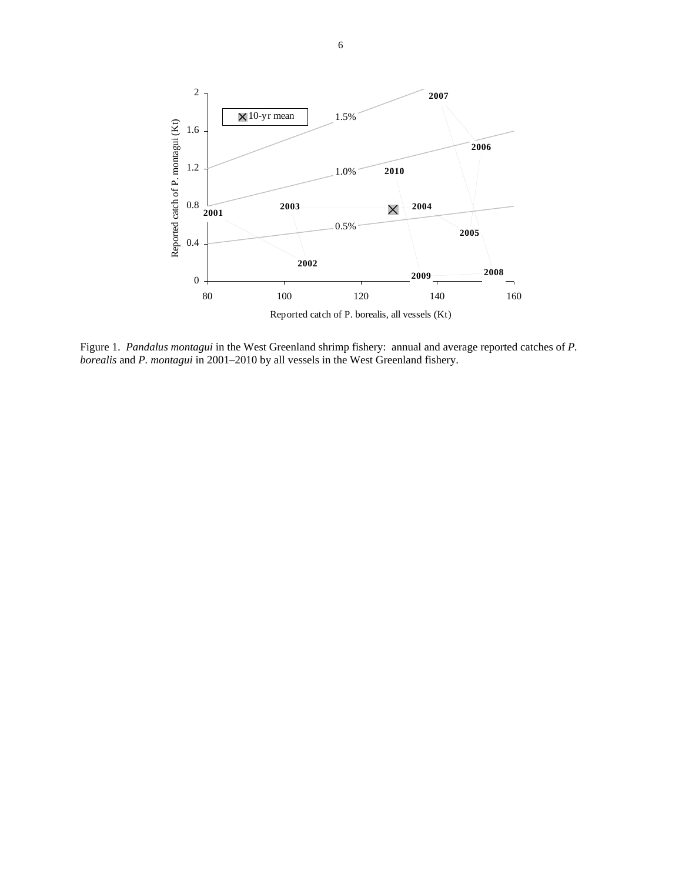

Figure 1. *Pandalus montagui* in the West Greenland shrimp fishery: annual and average reported catches of *P. borealis* and *P. montagui* in 2001–2010 by all vessels in the West Greenland fishery.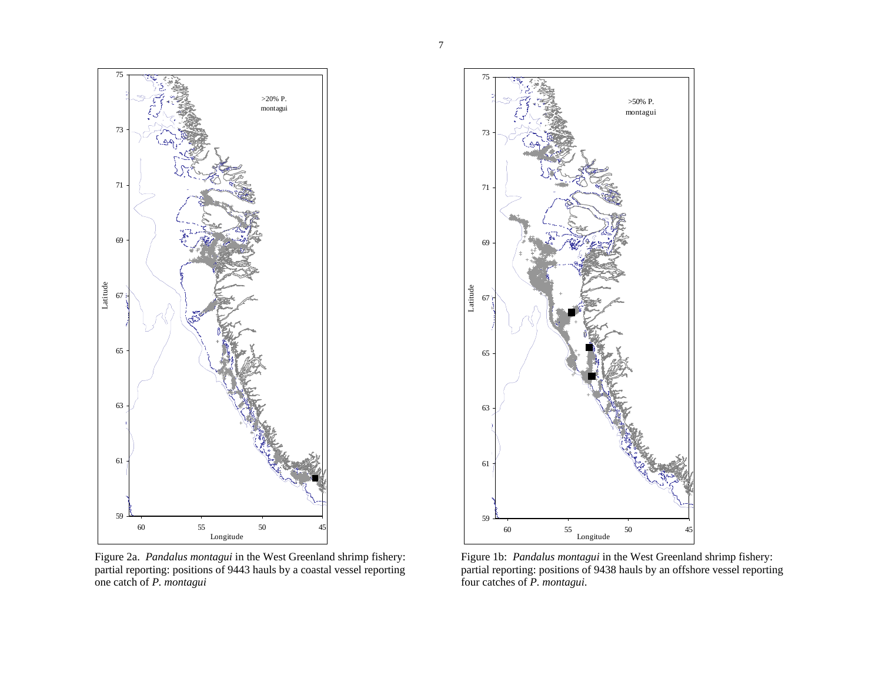

Figure 2a. *Pandalus montagui* in the West Greenland shrimp fishery: partial reporting: positions of 9443 hauls by a coastal vessel reporting one catch of *P. montagui*



Figure 1b: *Pandalus montagui* in the West Greenland shrimp fishery: partial reporting: positions of 9438 hauls by an offshore vessel reporting four catches of *P. montagui*.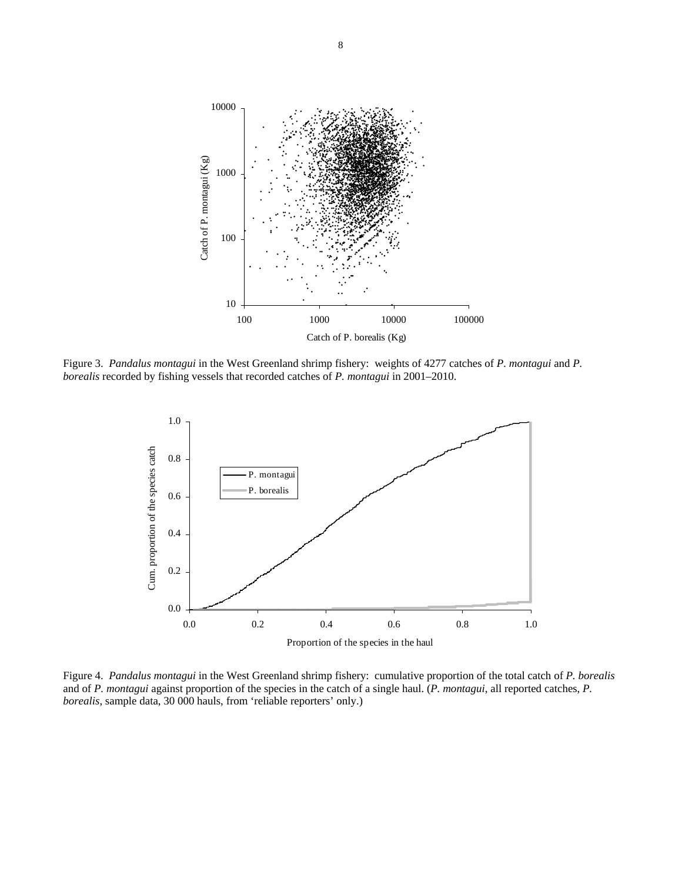

Figure 3. *Pandalus montagui* in the West Greenland shrimp fishery: weights of 4277 catches of *P. montagui* and *P. borealis* recorded by fishing vessels that recorded catches of *P. montagui* in 2001–2010.



Figure 4. *Pandalus montagui* in the West Greenland shrimp fishery: cumulative proportion of the total catch of *P. borealis* and of *P. montagui* against proportion of the species in the catch of a single haul. (*P. montagui*, all reported catches, *P. borealis*, sample data, 30 000 hauls, from 'reliable reporters' only.)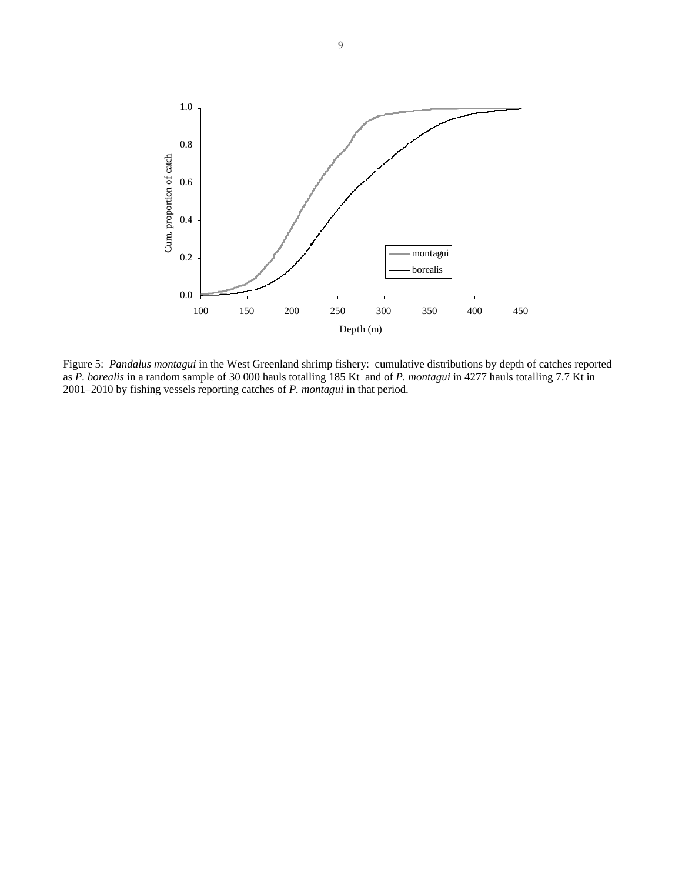

Figure 5: *Pandalus montagui* in the West Greenland shrimp fishery: cumulative distributions by depth of catches reported as *P. borealis* in a random sample of 30 000 hauls totalling 185 Kt and of *P. montagui* in 4277 hauls totalling 7.7 Kt in 2001–2010 by fishing vessels reporting catches of *P. montagui* in that period.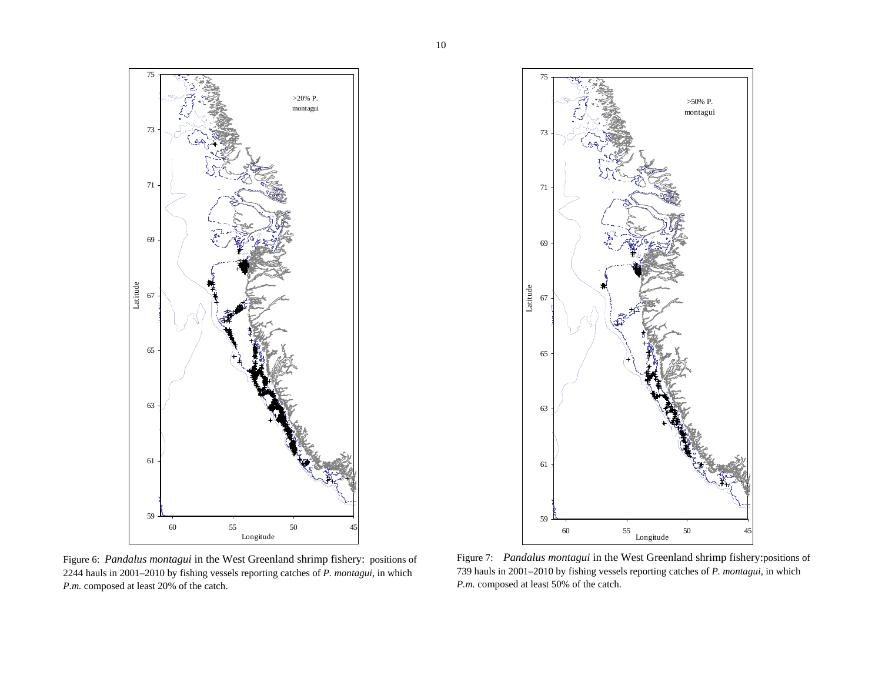

Figure 6: *Pandalus montagui* in the West Greenland shrimp fishery: positions of 2244 hauls in 2001–2010 by fishing vessels reporting catches of *P. montagui*, in which *P.m.* composed at least 20% of the catch.



Figure 7: *Pandalus montagui* in the West Greenland shrimp fishery:positions of 739 hauls in 2001–2010 by fishing vessels reporting catches of *P. montagui*, in which *P.m.* composed at least 50% of the catch.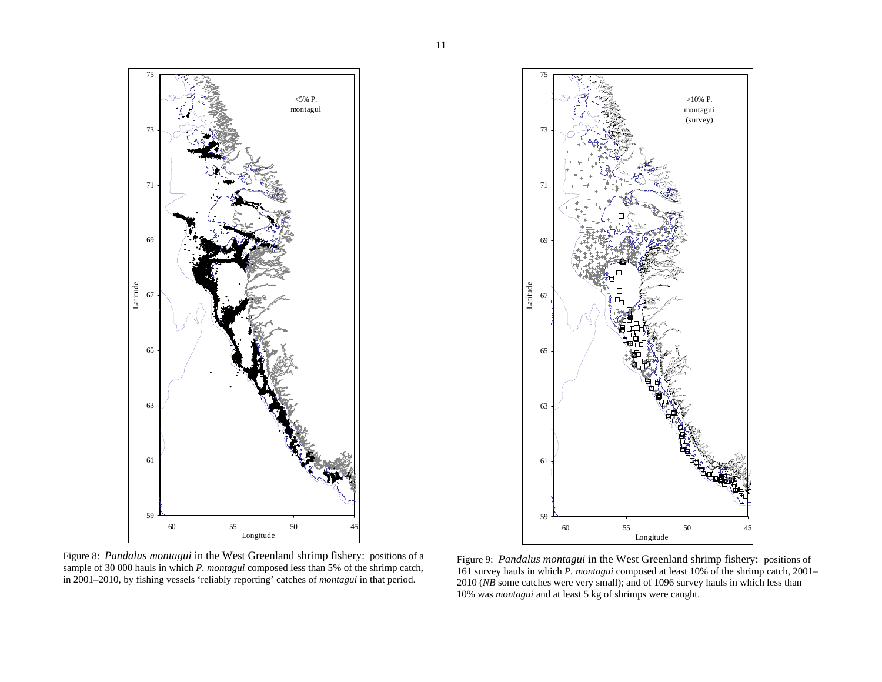

Figure 8: *Pandalus montagui* in the West Greenland shrimp fishery: positions of a sample of 30 000 hauls in which *P. montagui* composed less than 5% of the shrimp catch, in 2001–2010, by fishing vessels 'reliably reporting' catches of *montagui* in that period.

Figure 9: *Pandalus montagui* in the West Greenland shrimp fishery: positions of 161 survey hauls in which *P. montagui* composed at least 10% of the shrimp catch, 2001– 2010 (*NB* some catches were very small); and of 1096 survey hauls in which less than 10% was *montagui* and at least 5 kg of shrimps were caught.

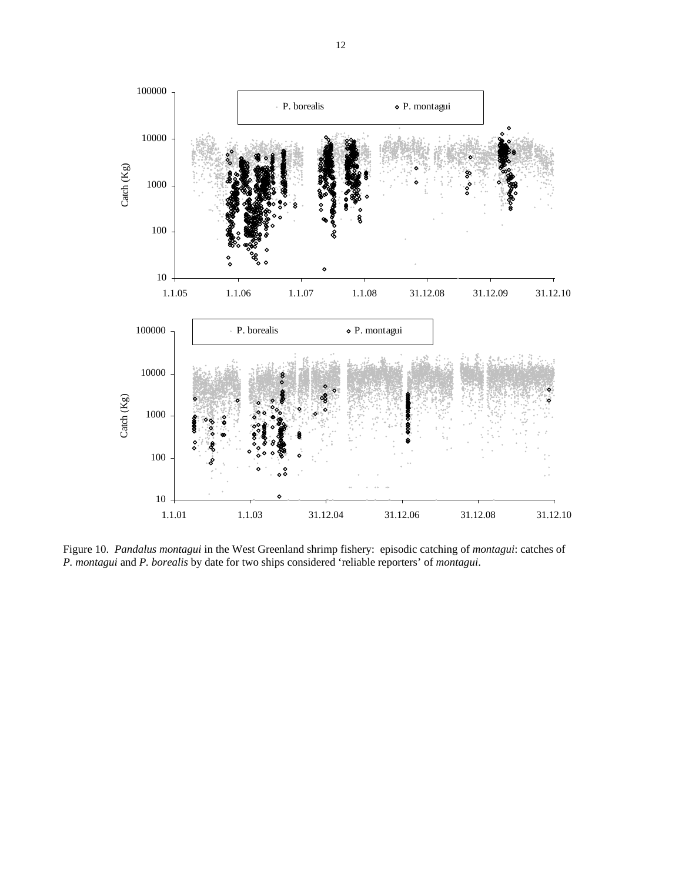

Figure 10. *Pandalus montagui* in the West Greenland shrimp fishery: episodic catching of *montagui*: catches of *P. montagui* and *P. borealis* by date for two ships considered 'reliable reporters' of *montagui*.